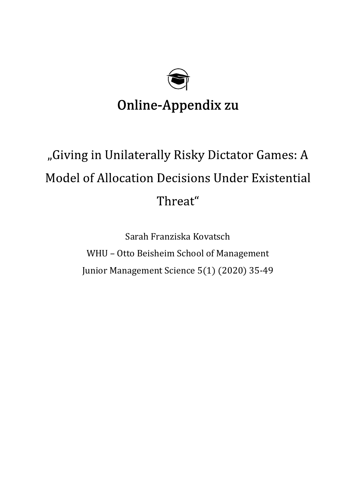

# Online-Appendix zu

# "Giving in Unilaterally Risky Dictator Games: A **Model of Allocation Decisions Under Existential** Threat"

Sarah Franziska Kovatsch WHU – Otto Beisheim School of Management Junior Management Science 5(1) (2020) 35-49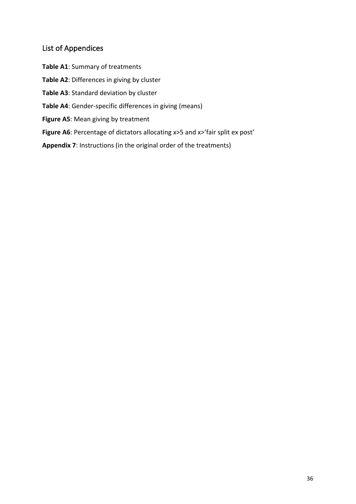# List of Appendices

- **Table A1**: Summary of treatments
- **Table A2**: Differences in giving by cluster
- **Table A3**: Standard deviation by cluster
- **Table A4**: Gender-specific differences in giving (means)
- **Figure A5**: Mean giving by treatment
- **Figure A6**: Percentage of dictators allocating x>5 and x>'fair split ex post'
- **Appendix 7**: Instructions (in the original order of the treatments)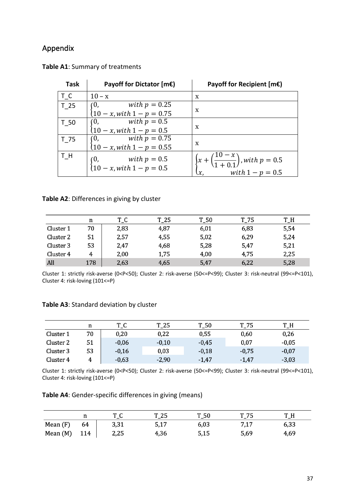## Appendix

| <b>Task</b> | Payoff for Dictator $[mE]$                                                    | Payoff for Recipient $[mE]$                                                                                           |
|-------------|-------------------------------------------------------------------------------|-----------------------------------------------------------------------------------------------------------------------|
| T C         | $10 - x$                                                                      | X                                                                                                                     |
| T 25        | $\begin{cases} 0, & with p = 0.25 \\ 10-x, with 1-p = 0.75 \end{cases}$       | X                                                                                                                     |
| T 50        | (0, with $p = 0.5$<br>$10 - x$ , with $1 - p = 0.5$                           | X                                                                                                                     |
| $T_75$      | $\begin{cases} 0, & with \ p = 0.75 \\ 10-x, with \ 1-p = 0.55 \end{cases}$   | X                                                                                                                     |
| $T_H$       | $\begin{cases} 0, & with \ p = 0.5 \\ 10 - x, with \ 1 - p = 0.5 \end{cases}$ | $\begin{cases} x + \left(\frac{10 - x}{1 + 0.1}\right)$ , with $p = 0.5$<br>$x, \quad with \ 1 - p = 0.5 \end{cases}$ |

**Table A1**: Summary of treatments

#### **Table A2**: Differences in giving by cluster

|           | n   | T_C  | $T_25$ | $T_50$ | $T_{-}$ 75 | $T_H$ |
|-----------|-----|------|--------|--------|------------|-------|
| Cluster 1 | 70  | 2,83 | 4,87   | 6,01   | 6,83       | 5,54  |
| Cluster 2 | 51  | 2,57 | 4,55   | 5,02   | 6,29       | 5,24  |
| Cluster 3 | 53  | 2,47 | 4,68   | 5,28   | 5,47       | 5,21  |
| Cluster 4 |     | 2,00 | 1,75   | 4,00   | 4,75       | 2,25  |
| All       | 178 | 2,63 | 4,65   | 5,47   | 6,22       | 5,28  |

Cluster 1: strictly risk-averse (0<P<50); Cluster 2: risk-averse (50<=P<99); Cluster 3: risk-neutral (99<=P<101), Cluster 4: risk-loving (101<=P)

### **Table A3**: Standard deviation by cluster

|           | n  | $T_{C}$ | $T_25$  | $T_50$  | $T_{Z}$ | T H     |
|-----------|----|---------|---------|---------|---------|---------|
| Cluster 1 | 70 | 0,20    | 0,22    | 0,55    | 0,60    | 0,26    |
| Cluster 2 | 51 | $-0,06$ | $-0,10$ | $-0.45$ | 0,07    | $-0,05$ |
| Cluster 3 | 53 | $-0,16$ | 0,03    | $-0,18$ | $-0.75$ | $-0,07$ |
| Cluster 4 | 4  | $-0,63$ | $-2,90$ | $-1,47$ | $-1,47$ | $-3,03$ |

Cluster 1: strictly risk-averse (0<P<50); Cluster 2: risk-averse (50<=P<99); Cluster 3: risk-neutral (99<=P<101), Cluster 4: risk-loving (101<=P)

**Table A4**: Gender-specific differences in giving (means)

|            | **  | ጥ ጦ  | $T_25$ | $T_50$ | $T_75$ |      |
|------------|-----|------|--------|--------|--------|------|
| Mean $(F)$ | 64  | 3,31 | 5,17   | 6,03   | 7,17   | 6,33 |
| Mean (M)   | 114 | 2,25 | 4,36   | 5,15   | 5,69   | 4,69 |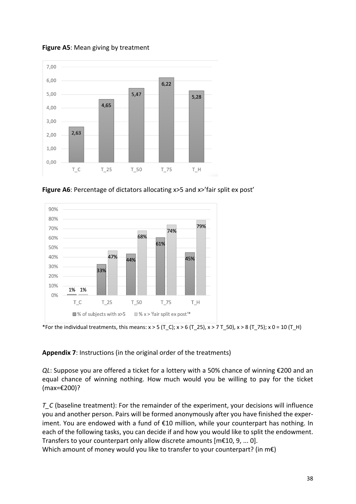

**Figure A5**: Mean giving by treatment

**Figure A6**: Percentage of dictators allocating x>5 and x>'fair split ex post'



\*For the individual treatments, this means:  $x > 5$  (T\_C);  $x > 6$  (T\_25),  $x > 7$  T\_50),  $x > 8$  (T\_75);  $x$  0 = 10 (T\_H)

#### **Appendix 7**: Instructions (in the original order of the treatments)

*QL*: Suppose you are offered a ticket for a lottery with a 50% chance of winning €200 and an equal chance of winning nothing. How much would you be willing to pay for the ticket (max=€200)?

*T\_C* (baseline treatment): For the remainder of the experiment, your decisions will influence you and another person. Pairs will be formed anonymously after you have finished the experiment. You are endowed with a fund of €10 million, while your counterpart has nothing. In each of the following tasks, you can decide if and how you would like to split the endowment. Transfers to your counterpart only allow discrete amounts [m€10, 9, ... 0].

Which amount of money would you like to transfer to your counterpart? (in m€)